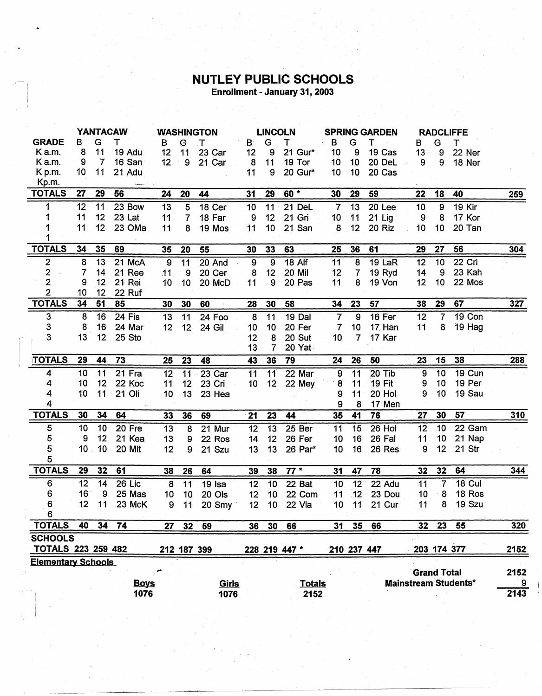## **NUTLEY PUBLIC SCHOOLS**<br>Enrollment - January 31, 2003

|                           | <b>YANTACAW</b> |                 |             | <b>WASHINGTON</b> |                 | <b>LINCOLN</b>      |                 | <b>SPRING GARDEN</b> |               |                  | <b>RADCLIFFE</b> |               |                    |                |                             |                        |
|---------------------------|-----------------|-----------------|-------------|-------------------|-----------------|---------------------|-----------------|----------------------|---------------|------------------|------------------|---------------|--------------------|----------------|-----------------------------|------------------------|
| <b>GRADE</b>              | в               | G               | т           | в                 | G               | . T                 | $\mathbf{B}$    | G                    | т             | в                | G                | т             | в                  | G              | т                           |                        |
| Ka.m.                     | 8               | 11              | 19 Adu      | 12                | 11              | 23 Car              | 12              | 9                    | 21 Gur*       | 10               | 9                | 19 Cas        | 13                 | 9              | 22 Ner                      |                        |
| Ka.m.                     | 9               | $\overline{7}$  | 16 San      | 12                | $\div$ 9        | 21 Car              | 8               | 11                   | 19 Tor        | 10               | 10               | 20 DeL        | 9                  | 9              | 18 Ner                      |                        |
| K p.m.                    | 10 <sub>1</sub> | 11              | 21 Adu      |                   |                 |                     | 11              | 9                    | 20 Gur*       | 10               | 10               | 20 Cas        |                    |                |                             |                        |
| Kp.m.                     |                 |                 |             |                   |                 |                     |                 |                      |               |                  |                  |               |                    |                |                             |                        |
| <b>TOTALS</b>             | 27              | 29              | 56          | 24                | 20              | 44                  | 31              | 29                   | $60*$         | 30               | 29               | 59            | 22                 | 18             | 40                          | 259                    |
| 1                         | 12              | 11              | 23 Bow      | 13                | 5               | 18 Cer              | 10              | $11 -$               | 21 DeL        | $\overline{7}$   | 13               | 20 Lee        | 10                 | 9              | 19 Kir                      |                        |
| 1                         | 11              | 12 <sub>2</sub> | 23 Lat      | 11                | $\overline{7}$  | 18 Far              | 9               | 12                   | 21 Gri        | 10               | 11               | 21 Lig        | 9                  | 8              | 17 Kor                      |                        |
|                           | 11              | 12              | 23 OMa      | 11                | 8               | 19 Mos              | 11              | 10                   | 21 San        | 8                | 12               | 20 Riz        | 10                 | 10             | 20 Tan                      |                        |
|                           |                 |                 |             |                   |                 |                     |                 |                      |               |                  |                  |               |                    |                |                             |                        |
| <b>TOTALS</b>             | 34              | 35              | 69          | 35                | 20              | 55                  | 30              | 33                   | 63            | 25               | 36               | 61            | 29                 | 27             | 56                          | 304                    |
| 2                         | 8               | 13              | 21 McA      | 9                 | $\overline{11}$ | 20 And              | 9               | 9                    | <b>18 Alf</b> | 11               | 8                | 19 LaR        | 12                 | 10             | 22 Cri                      |                        |
| $\overline{2}$            | 7               | 14              | 21 Ree      | .11               | 9               | 20 Cer              | 8               | 12                   | 20 Mil        | 12               | $\overline{7}$   | 19 Ryd        | 14                 | 9              | 23 Kah                      |                        |
| $\overline{\mathbf{c}}$   | 9               | 12              | 21 Rei      | 10                | 10              | 20 McD              | 11              | , 9                  | 20 Pas        | 11               | 8                | 19 Von        | 12                 | 10             | 22 Mos                      |                        |
| $\overline{2}$            | 10              | 12              | 22 Ruf      |                   |                 |                     |                 |                      |               |                  |                  |               |                    |                |                             |                        |
| <b>TOTALS</b>             | 34              | 51              | 85          | 30                | 30              | 60                  | 28              | 30                   | 58            | 34               | 23               | 57            | 38                 | 29             | 67                          | 327                    |
| 3                         | $\bf{8}$        | 16              | $24$ Fis    | 13                | 11              | 24 Foo              | 8               | 11                   | 19 Dal        | $\overline{7}$   | 9                | 16 Fer        | 12                 | $\overline{7}$ | 19 Con                      |                        |
| 3                         | 8               | 16              | 24 Mar      | 12                | 12              | 24 Gil              | 10              | 10                   | 20 Fer        | $\overline{7}$   | 10               | 17 Han        | 11                 | 8              | 19 Hag                      |                        |
| 3                         | 13              | 12              | 25 Sto      |                   |                 |                     | 12              | 8                    | 20 Sut        | 10               | 7                | 17 Kar        |                    |                |                             |                        |
|                           |                 |                 |             |                   |                 |                     | 13              | $\overline{7}$       | 20 Yat        |                  |                  |               |                    |                |                             |                        |
| <b>TOTALS</b>             | 29              | 44              | 73          | 25                | 23              | 48                  | 43              | 36                   | 79            | 24               | 26               | 50            | 23                 | 15             | 38                          | 288                    |
| 4                         | 10              | 11              | 21 Fra      | 12                | 11              | 23 Car              | 11              | 11                   | 22 Mar        | $\boldsymbol{9}$ | 11               | 20 Tib        | 9                  | 10             | 19 Cun                      |                        |
| 4                         | 10              | 12              | 22 Koc      | 11                | 12              | 23 Cri              | 10 <sub>1</sub> | 12 <sub>2</sub>      | 22 Mey        | 8                | 11               | <b>19 Fit</b> | 9                  | 10             | 19 Per                      |                        |
| 4                         | 10              | 11              | 21 Oli      | 10                | 13              | 23 Hea              |                 |                      |               | 9                | 11               | 20 Hol        | 9                  | 10             | 19 Sau                      |                        |
| 4                         |                 |                 |             |                   |                 |                     |                 |                      |               | 9                | 8                | 17 Men        |                    |                |                             |                        |
| <b>TOTALS</b>             | 30              | 34              | 64          | 33                | 36              | 69                  | 21              | 23                   | 44            | 35               | 41               | 76            | 27                 | 30             | 57                          | 310                    |
| 5                         | 10              | 10              | 20 Fre      | 13                | 8               | 21 Mur              | $\overline{12}$ | $\overline{13}$      | 25 Ber        | 11               | 15               | $26$ Hol      | 12                 | 10             | 22 Gam                      |                        |
| 5                         | 9               | 12              | 21 Kea      | 13                | 9               | 22 Ros              | 14              | 12                   | 26 Fer        | 10               | 16               | 26 Fal        | 11                 | 10             | 21 Nap                      |                        |
| 5                         | 10 <sub>1</sub> | 10              | 20 Mit      | 12                | 9               | 21 Szu              | 13              | 13                   | 26 Par*       | 10               | 16               | 26 Res        | 9                  | 12             | 21 Str                      |                        |
| 5                         |                 |                 |             |                   |                 |                     |                 |                      |               |                  |                  |               |                    |                |                             |                        |
| <b>TOTALS</b>             | 29              | 32              | 61          | 38                | 26              | 64                  | 39              | 38                   | $77*$         | 31               | 47               | 78            | 32                 | 32             | 64                          | 344                    |
| 6                         | 12              | 14              | 26 Lic      | 8                 | 11              | $\overline{19}$ Isa | 12              | 10                   | 22 Bat        | 10               | 12               | 22 Adu        | 11                 | 7              | <b>18 Cul</b>               |                        |
| 6                         | 16              | $\overline{9}$  | 25 Mas      | 10                | 10              | 20 Ols              | 12              | 10                   | 22 Com        | 11               | .12              | 23 Dou        | 10                 | 8              | 18 Ros                      |                        |
| 6                         | 12              | 11              | 23 McK      | 9                 | 11              | 20 Smy              | 12              | 10 <sub>1</sub>      | 22 Vla        | 10               | 11               | 21 Cur        | 11                 | 8              | 19 Szu                      |                        |
| 6                         |                 |                 |             |                   |                 |                     |                 |                      |               |                  |                  |               |                    |                |                             |                        |
| <b>TOTALS</b>             | 40              | 34              | 74          | 27                | 32              | 59                  | 36              | 30                   | 66            | 31               | 35               | 66            | 32 <sub>2</sub>    | 23             | 55                          | 320                    |
| <b>SCHOOLS</b>            |                 |                 |             |                   |                 |                     |                 |                      |               |                  |                  |               |                    |                |                             |                        |
| <b>TOTALS 223 259 482</b> |                 |                 |             |                   |                 | 212 187 399         |                 |                      | 228 219 447 * |                  |                  | 210 237 447   |                    | 203 174 377    |                             | 2152                   |
| <b>Elementary Schools</b> |                 |                 |             |                   |                 |                     |                 |                      |               |                  |                  |               |                    |                |                             |                        |
|                           |                 |                 |             |                   |                 |                     |                 |                      |               |                  |                  |               | <b>Grand Total</b> |                |                             | 2152                   |
|                           |                 |                 | <b>Boys</b> |                   |                 | <u>Girls</u>        |                 |                      | <b>Totals</b> |                  |                  |               |                    |                | <b>Mainstream Students*</b> | $\overline{9}$<br>2143 |
|                           |                 |                 | 1076        |                   |                 | 1076                |                 |                      | 2152          |                  |                  |               |                    |                |                             |                        |